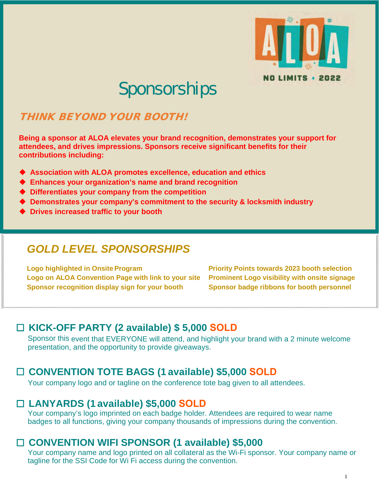

# Sponsorships

# THINK BEYOND YOUR BOOTH!

**Being a sponsor at ALOA elevates your brand recognition, demonstrates your support for attendees, and drives impressions. Sponsors receive significant benefits for their contributions including:** 

- **Association with ALOA promotes excellence, education and ethics**
- **Enhances your organization's name and brand recognition**
- **Differentiates your company from the competition**
- **Demonstrates your company's commitment to the security & locksmith industry**
- **Drives increased traffic to your booth**

# *GOLD LEVEL SPONSORSHIPS*

**Logo highlighted in Onsite Program Priority Points towards 2023 booth selection Logo on ALOA Convention Page with link to your site Prominent Logo visibility with onsite signage** Sponsor recognition display sign for your booth Sponsor badge ribbons for booth personnel

## ☐ **KICK-OFF PARTY (2 available) \$ 5,000 SOLD**

Sponsor this event that EVERYONE will attend, and highlight your brand with a 2 minute welcome presentation, and the opportunity to provide giveaways.

## ☐ **CONVENTION TOTE BAGS (1 available) \$5,000 SOLD**

Your company logo and or tagline on the conference tote bag given to all attendees.

## ☐ **LANYARDS (1 available) \$5,000 SOLD**

Your company's logo imprinted on each badge holder. Attendees are required to wear name badges to all functions, giving your company thousands of impressions during the convention.

## ☐ **CONVENTION WIFI SPONSOR (1 available) \$5,000**

Your company name and logo printed on all collateral as the Wi-Fi sponsor. Your company name or tagline for the SSI Code for Wi Fi access during the convention.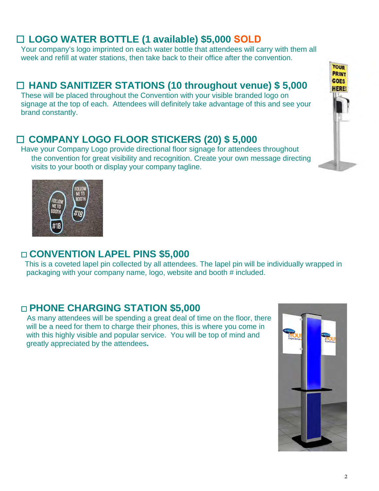## ☐ **LOGO WATER BOTTLE (1 available) \$5,000 SOLD**

Your company's logo imprinted on each water bottle that attendees will carry with them all week and refill at water stations, then take back to their office after the convention.

## ☐ **HAND SANITIZER STATIONS (10 throughout venue) \$ 5,000**

These will be placed throughout the Convention with your visible branded logo on signage at the top of each. Attendees will definitely take advantage of this and see your brand constantly.

## ☐ **COMPANY LOGO FLOOR STICKERS (20) \$ 5,000**

Have your Company Logo provide directional floor signage for attendees throughout the convention for great visibility and recognition. Create your own message directing visits to your booth or display your company tagline.



#### ☐ **CONVENTION LAPEL PINS \$5,000**

 This is a coveted lapel pin collected by all attendees. The lapel pin will be individually wrapped in packaging with your company name, logo, website and booth # included.

#### ☐ **PHONE CHARGING STATION \$5,000**

As many attendees will be spending a great deal of time on the floor, there will be a need for them to charge their phones, this is where you come in with this highly visible and popular service. You will be top of mind and greatly appreciated by the attendees**.**



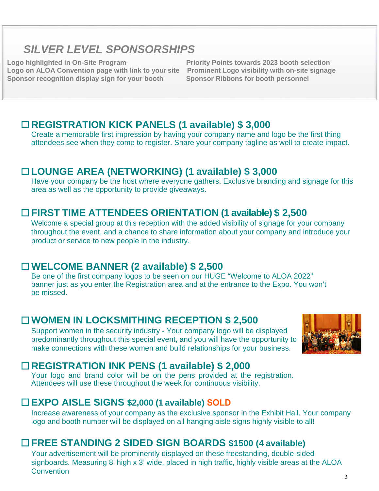# *SILVER LEVEL SPONSORSHIPS*

**Logo on ALOA Convention page with link to your site Prominent Logo visibility with on-site signage Sponsor recognition display sign for your booth** 

**Logo highlighted in On-Site Program Priority Points towards 2023 booth selection**

#### ☐ **REGISTRATION KICK PANELS (1 available) \$ 3,000**

Create a memorable first impression by having your company name and logo be the first thing attendees see when they come to register. Share your company tagline as well to create impact.

#### ☐ **LOUNGE AREA (NETWORKING) (1 available) \$ 3,000**

Have your company be the host where everyone gathers. Exclusive branding and signage for this area as well as the opportunity to provide giveaways.

#### ☐ **FIRST TIME ATTENDEES ORIENTATION (1 available) \$ 2,500**

Welcome a special group at this reception with the added visibility of signage for your company throughout the event, and a chance to share information about your company and introduce your product or service to new people in the industry.

#### ☐ **WELCOME BANNER (2 available) \$ 2,500**

Be one of the first company logos to be seen on our HUGE "Welcome to ALOA 2022" banner just as you enter the Registration area and at the entrance to the Expo. You won't be missed.

#### ☐ **WOMEN IN LOCKSMITHING RECEPTION \$ 2,500**

Support women in the security industry - Your company logo will be displayed predominantly throughout this special event, and you will have the opportunity to make connections with these women and build relationships for your business.



## ☐ **REGISTRATION INK PENS (1 available) \$ 2,000**

Your logo and brand color will be on the pens provided at the registration. Attendees will use these throughout the week for continuous visibility.

#### ☐ **EXPO AISLE SIGNS \$2,000 (1 available) SOLD**

Increase awareness of your company as the exclusive sponsor in the Exhibit Hall. Your company logo and booth number will be displayed on all hanging aisle signs highly visible to all!

## ☐ **FREE STANDING 2 SIDED SIGN BOARDS \$1500 (4 available)**

Your advertisement will be prominently displayed on these freestanding, double-sided signboards. Measuring 8' high x 3' wide, placed in high traffic, highly visible areas at the ALOA **Convention**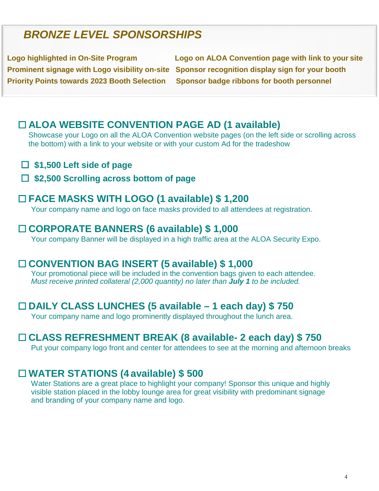# *BRONZE LEVEL SPONSORSHIPS*

**Priority Points towards 2023 Booth Selection Sponsor badge ribbons for booth personnel** 

**Logo highlighted in On-Site Program Logo on ALOA Convention page with link to your site Prominent signage with Logo visibility on-site Sponsor recognition display sign for your booth** 

## ☐ **ALOA WEBSITE CONVENTION PAGE AD (1 available)**

Showcase your Logo on all the ALOA Convention website pages (on the left side or scrolling across the bottom) with a link to your website or with your custom Ad for the tradeshow

- ☐ **\$1,500 Left side of page**
- ☐ **\$2,500 Scrolling across bottom of page**

#### ☐ **FACE MASKS WITH LOGO (1 available) \$ 1,200**

Your company name and logo on face masks provided to all attendees at registration.

#### ☐ **CORPORATE BANNERS (6 available) \$ 1,000**

Your company Banner will be displayed in a high traffic area at the ALOA Security Expo.

#### ☐ **CONVENTION BAG INSERT (5 available) \$ 1,000**

Your promotional piece will be included in the convention bags given to each attendee. *Must receive printed collateral (2,000 quantity) no later than July 1 to be included.*

#### ☐ **DAILY CLASS LUNCHES (5 available – 1 each day) \$ 750**

Your company name and logo prominently displayed throughout the lunch area.

#### ☐ **CLASS REFRESHMENT BREAK (8 available- 2 each day) \$ 750**

Put your company logo front and center for attendees to see at the morning and afternoon breaks

#### ☐ **WATER STATIONS (4 available) \$ 500**

Water Stations are a great place to highlight your company! Sponsor this unique and highly visible station placed in the lobby lounge area for great visibility with predominant signage and branding of your company name and logo.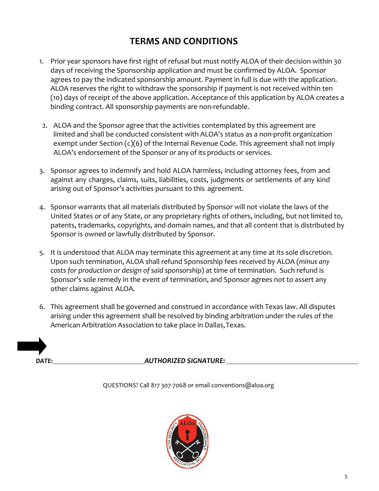## **TERMS AND CONDITIONS**

- 1. Prior year sponsors have first right of refusal but must notify ALOA of their decision within 30 days of receiving the Sponsorship application and must be confirmed by ALOA. Sponsor agrees to pay the indicated sponsorship amount. Payment in full is due with the application. ALOA reserves the right to withdraw the sponsorship if payment is not received within ten (10) days of receipt of the above application. Acceptance of this application by ALOA creates a binding contract. All sponsorship payments are non-refundable.
- 2. ALOA and the Sponsor agree that the activities contemplated by this agreement are limited and shall be conducted consistent with ALOA's status as a non-profit organization exempt under Section (c)(6) of the Internal Revenue Code. This agreement shall not imply ALOA's endorsement of the Sponsor or any of its products or services.
- 3. Sponsor agrees to indemnify and hold ALOA harmless, including attorney fees, from and against any charges, claims, suits, liabilities, costs, judgments or settlements of any kind arising out of Sponsor's activities pursuant to this agreement.
- 4. Sponsor warrants that all materials distributed by Sponsor will not violate the laws of the United States or of any State, or any proprietary rights of others, including, but not limited to, patents, trademarks, copyrights, and domain names, and that all content that is distributed by Sponsor is owned or lawfully distributed by Sponsor.
- 5. It is understood that ALOA may terminate this agreement at any time at its sole discretion. Upon such termination, ALOA shall refund Sponsorship fees received by ALOA (*minus any costs for production or design of said sponsorship*) at time of termination. Such refund is Sponsor's sole remedy in the event of termination, and Sponsor agrees not to assert any other claims against ALOA.
- 6. This agreement shall be governed and construed in accordance with Texas law. All disputes arising under this agreement shall be resolved by binding arbitration under the rules of the American Arbitration Association to take place in Dallas,Texas.

*DATE: AUTHORIZED SIGNATURE:* 

QUESTIONS? Call 817 307-7068 or emai[l conventions@aloa.org](mailto:conventions@aloa.org)